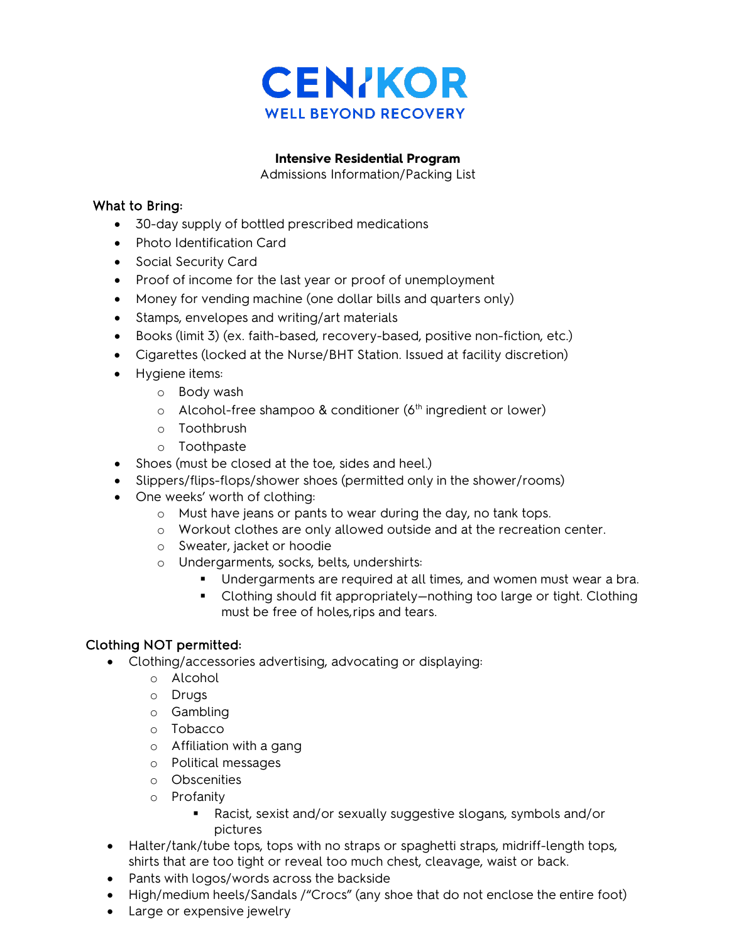

#### **Intensive Residential Program**

Admissions Information/Packing List

#### What to Bring:

- 30-day supply of bottled prescribed medications
- Photo Identification Card
- Social Security Card
- Proof of income for the last year or proof of unemployment
- Money for vending machine (one dollar bills and quarters only)
- Stamps, envelopes and writing/art materials
- Books (limit 3) (ex. faith-based, recovery-based, positive non-fiction, etc.)
- Cigarettes (locked at the Nurse/BHT Station. Issued at facility discretion)
- Hygiene items:
	- o Body wash
	- $\circ$  Alcohol-free shampoo & conditioner (6<sup>th</sup> ingredient or lower)
	- o Toothbrush
	- o Toothpaste
- Shoes (must be closed at the toe, sides and heel.)
- Slippers/flips-flops/shower shoes (permitted only in the shower/rooms)
- One weeks' worth of clothing:
	- o Must have jeans or pants to wear during the day, no tank tops.
	- o Workout clothes are only allowed outside and at the recreation center.
	- o Sweater, jacket or hoodie
	- o Undergarments, socks, belts, undershirts:
		- Undergarments are required at all times, and women must wear a bra.
		- Clothing should fit appropriately—nothing too large or tight. Clothing must be free of holes,rips and tears.

## Clothing NOT permitted:

- Clothing/accessories advertising, advocating or displaying:
	- o Alcohol
	- o Drugs
	- o Gambling
	- o Tobacco
	- o Affiliation with a gang
	- o Political messages
	- o Obscenities
	- o Profanity
		- Racist, sexist and/or sexually suggestive slogans, symbols and/or pictures
- Halter/tank/tube tops, tops with no straps or spaghetti straps, midriff-length tops, shirts that are too tight or reveal too much chest, cleavage, waist or back.
- Pants with logos/words across the backside
- High/medium heels/Sandals /"Crocs" (any shoe that do not enclose the entire foot)
- Large or expensive jewelry